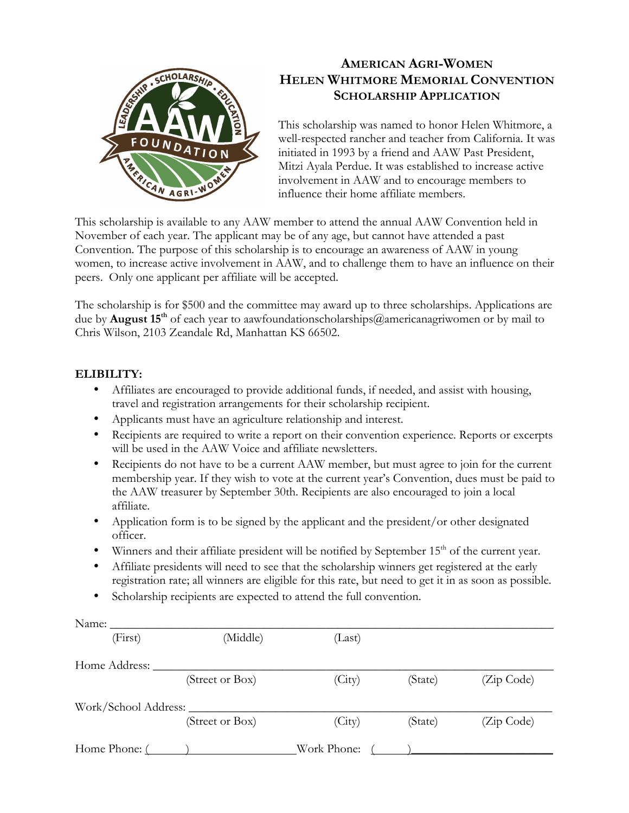

## **AMERICAN AGRI-WOMEN HELEN WHITMORE MEMORIAL CONVENTION SCHOLARSHIP APPLICATION**

This scholarship was named to honor Helen Whitmore, a well-respected rancher and teacher from California. It was initiated in 1993 by a friend and AAW Past President, Mitzi Ayala Perdue. It was established to increase active involvement in AAW and to encourage members to influence their home affiliate members.

This scholarship is available to any AAW member to attend the annual AAW Convention held in November of each year. The applicant may be of any age, but cannot have attended a past Convention. The purpose of this scholarship is to encourage an awareness of AAW in young women, to increase active involvement in AAW, and to challenge them to have an influence on their peers. Only one applicant per affiliate will be accepted.

The scholarship is for \$500 and the committee may award up to three scholarships. Applications are due by **August 15th** of each year to aawfoundationscholarships@americanagriwomen or by mail to Chris Wilson, 2103 Zeandale Rd, Manhattan KS 66502.

## **ELIBILITY:**

- Affiliates are encouraged to provide additional funds, if needed, and assist with housing, travel and registration arrangements for their scholarship recipient.
- Applicants must have an agriculture relationship and interest.
- Recipients are required to write a report on their convention experience. Reports or excerpts will be used in the AAW Voice and affiliate newsletters.
- Recipients do not have to be a current AAW member, but must agree to join for the current membership year. If they wish to vote at the current year's Convention, dues must be paid to the AAW treasurer by September 30th. Recipients are also encouraged to join a local affiliate.
- Application form is to be signed by the applicant and the president/or other designated officer.
- Winners and their affiliate president will be notified by September  $15<sup>th</sup>$  of the current year.
- Affiliate presidents will need to see that the scholarship winners get registered at the early registration rate; all winners are eligible for this rate, but need to get it in as soon as possible.
- Scholarship recipients are expected to attend the full convention.

| Name:                |                 |             |         |            |
|----------------------|-----------------|-------------|---------|------------|
| (First)              | (Middle)        | (Last)      |         |            |
| Home Address:        |                 |             |         |            |
|                      | (Street or Box) | (City)      | (State) | (Zip Code) |
| Work/School Address: |                 |             |         |            |
|                      | (Street or Box) | (City)      | (State) | (Zip Code) |
| Home Phone: (        |                 | Work Phone: |         |            |